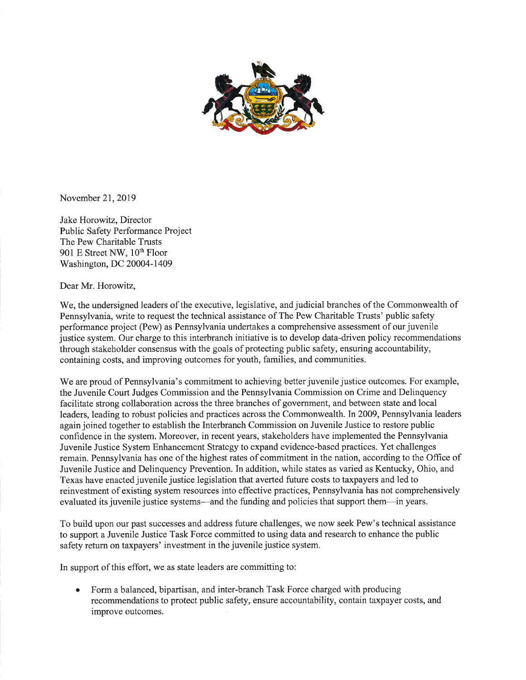

November 2I,2019

Jake Horowitz, Director Public Safety Performance Project The Pew Charitable Trusts 901 E Street NW, 10'h Floor Washington, DC 20004-1409

Dear Mr. Horowitz,

We, the undersigned leaders of the executive, legislative, and judicial branches of the Commonwealth of Pennsylvania, write to request the technical assistance of The Pew Charitable Trusts' public safety performance project (Pew) as Pennsylvania undertakes a comprehensive assessment of our juvenile justice system. Our charge to this interbranch initiative is to develop data-driven policy recommendations through stakeholder consensus with the goals of protecting public safety, ensuring accountability, containing costs, and improving outcomes for youth, families, and communities.

We are proud of Pennsylvania's commitment to achieving better juvenile justice outcomes. For example, the Juvenile Court Judges Commission and the Pennsylvania Commission on Crime and Delinquency facilitate strong collaboration across the three branches of government, and between state and local leaders, leading to robust policies and practices across the Commonwealth. In 2009, Pennsylvania leaders again joined together to establish the Interbranch Commission on Juvenile Justice to restore public confidence in the system. Moreover, in recent years, stakeholders have implemented the Pennsylvania Juvenile Justice System Enhancemcnt Stratcgy to cxpand cvidence-based practices. Yet challenges remain. Pennsylvania has one of the highest rates of commitment in the nation, according to the Office of Juvenile Justice and Delinquency Prevention. In addition, while states as varied as Kentucky, Ohio, and Texas have enacted juvenile justice legislation that averted future costs to taxpayers and led to reinvestment of existing system resources into effective practices, Pennsylvania has not comprehensively evaluated its juvenile justice systems—and the funding and policies that support them—in years.

To build upon our past successes and address future challenges, we now seek Pew's technical assistance to support a Juvenile Justice Task Force committed to using data and research to enhance the public safety refurn on taxpayers' investment in the juvenile justice system.

In support of this effort, we as state leaders are committing to:

Form a balanced, bipartisan, and inter-branch Task Force charged with producing recommendations to protect public safety, ensure accountability, contain taxpayer costs, and improve outcomes. a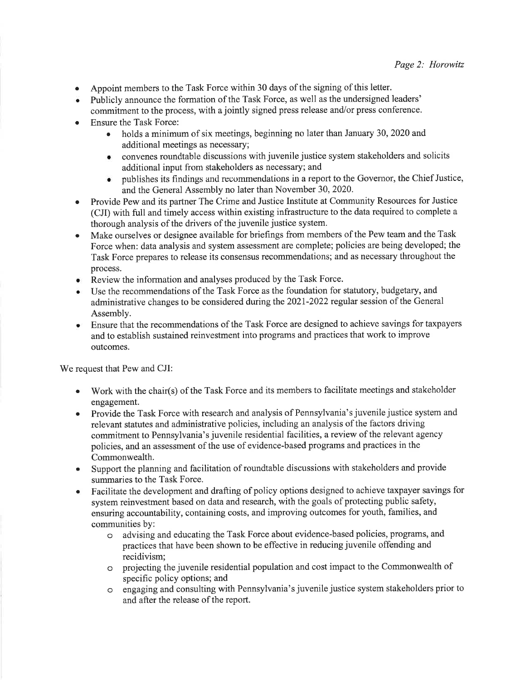- . Appoint members to the Task Force within 30 days of the signing of this letter.
- Publicly announce the formation of the Task Force, as well as the undersigned leaders' commitment to the process, with a jointly signed press release and/or press conference.
- Ensure the Task Force:
	- holds a minimum of six meetings, beginning no later than January 30, 2020 and additional meetings as necessary;
	- . convenes roundtable discussions with juvenile justice system stakeholders and solicits additional input from stakeholders as necessary; and
	- publishes its findings and recommendations in a report to the Governor, the Chief Justice, and the General Assembly no later than November 30, 2020.
- Provide Pew and its partner The Crime and Justice Institute at Community Resources for Justice (CJI) with full and timely access within existing infrastructure to the data required to complete a thorough analysis of the drivers of the juvenile justice system.
- Make ourselves or designee available for briefings from members of the Pew team and the Task Force when: data analysis and system assessment are complete; policies are being developed; the Task Force prepares to release its consensus recommendations; and as necessary throughout the process.
- Review the information and analyses produced by the Task Force.
- Use the recommendations of the Task Force as the foundation for statutory, budgetary, and administrative changes to be considered during the 2021-2022 regular session of the General Assembly.
- o Ensure that the recommendations of the Task Force are designed to achieve savings for taxpayers and to establish sustained reinvestment into programs and practices that work to improve outcomes.

We request that Pew and CJI:

- Work with the chair(s) of the Task Force and its members to facilitate meetings and stakeholder engagement.
- Provide the Task Force with research and analysis of Pennsylvania's juvenile justice system and relevant statutes and administrative policies, including an analysis of the factors driving commitment to Pennsylvania's juvenile residential facilities, a review of the relevant agency policies, and an assessment of the use of evidence-based programs and practices in the Commonwealth.
- Support the planning and facilitation of roundtable discussions with stakeholders and provide summaries to the Task Force.  $\bullet$
- Facilitate the development and drafting of policy options designed to achieve taxpayer savings for system reinvestment based on data and research, with the goals of protecting public safety, ensuring accountability, containing costs, and improving outcomes for youth, families, and communities by: a
	- o advising and educating the Task Force about evidence-based policies, programs, and practices that have been shown to be effective in reducing juvenile offending and recidivism;
	- o projecting the juvenile residential population and cost impact to the Commonwealth of specific policy options; and
	- o engaging and consulting with Pennsylvania's juvenile justice system stakeholders prior to and after the release of the report.